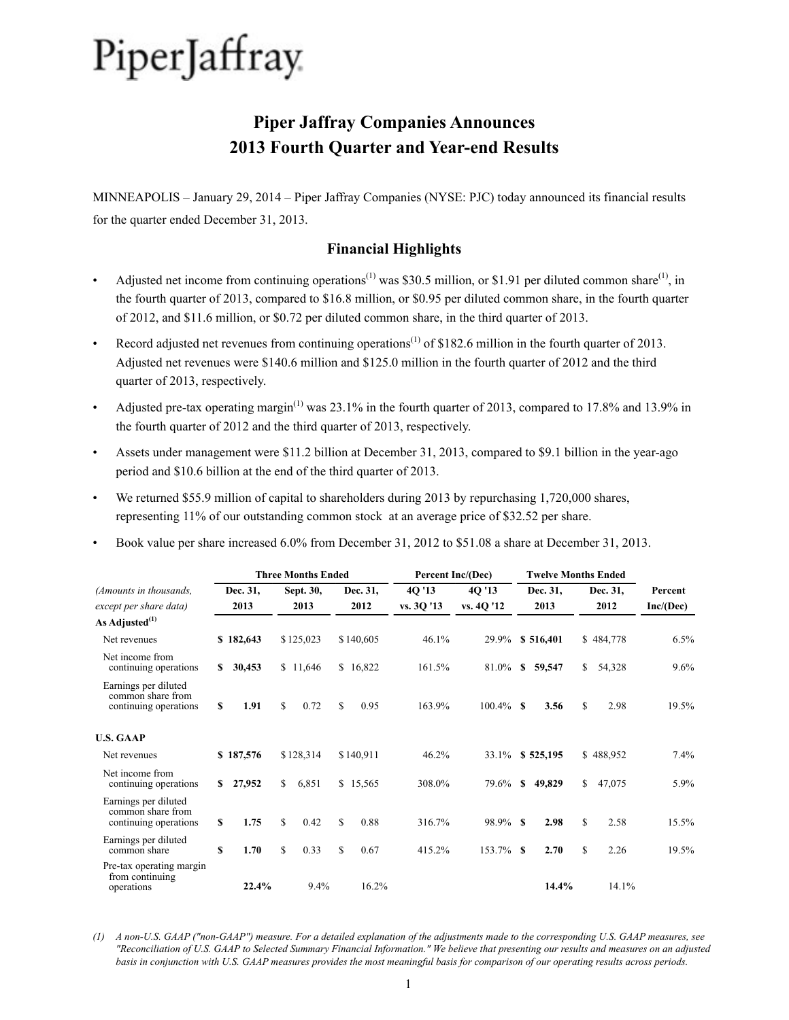### **Piper Jaffray Companies Announces 2013 Fourth Quarter and Year-end Results**

MINNEAPOLIS – January 29, 2014 – Piper Jaffray Companies (NYSE: PJC) today announced its financial results for the quarter ended December 31, 2013.

#### **Financial Highlights**

- Adjusted net income from continuing operations<sup>(1)</sup> was \$30.5 million, or \$1.91 per diluted common share<sup>(1)</sup>, in the fourth quarter of 2013, compared to \$16.8 million, or \$0.95 per diluted common share, in the fourth quarter of 2012, and \$11.6 million, or \$0.72 per diluted common share, in the third quarter of 2013.
- Record adjusted net revenues from continuing operations<sup>(1)</sup> of \$182.6 million in the fourth quarter of 2013. Adjusted net revenues were \$140.6 million and \$125.0 million in the fourth quarter of 2012 and the third quarter of 2013, respectively.
- Adjusted pre-tax operating margin<sup>(1)</sup> was 23.1% in the fourth quarter of 2013, compared to 17.8% and 13.9% in the fourth quarter of 2012 and the third quarter of 2013, respectively.
- Assets under management were \$11.2 billion at December 31, 2013, compared to \$9.1 billion in the year-ago period and \$10.6 billion at the end of the third quarter of 2013.
- We returned \$55.9 million of capital to shareholders during 2013 by repurchasing 1,720,000 shares, representing 11% of our outstanding common stock at an average price of \$32.52 per share.
- Book value per share increased 6.0% from December 31, 2012 to \$51.08 a share at December 31, 2013.

| <b>Three Months Ended</b>                                          |              |           |    | Percent Inc/(Dec) |     |           | <b>Twelve Months Ended</b> |              |               |           |             |           |           |
|--------------------------------------------------------------------|--------------|-----------|----|-------------------|-----|-----------|----------------------------|--------------|---------------|-----------|-------------|-----------|-----------|
| (Amounts in thousands,                                             |              | Dec. 31,  |    | Sept. 30,         |     | Dec. 31,  | 4Q '13                     | 40'13        |               | Dec. 31,  |             | Dec. 31,  | Percent   |
| except per share data)                                             |              | 2013      |    | 2013              |     | 2012      | vs. 3Q '13                 | vs. 40 '12   |               | 2013      |             | 2012      | Inc/(Dec) |
| As Adjusted <sup>(1)</sup>                                         |              |           |    |                   |     |           |                            |              |               |           |             |           |           |
| Net revenues                                                       |              | \$182,643 |    | \$125,023         |     | \$140,605 | 46.1%                      | 29.9%        |               | \$516,401 |             | \$484,778 | 6.5%      |
| Net income from<br>continuing operations                           | S            | 30,453    |    | \$11,646          |     | \$16,822  | 161.5%                     | 81.0%        | S             | 59,547    | \$          | 54,328    | 9.6%      |
| Earnings per diluted<br>common share from<br>continuing operations | $\mathbf{s}$ | 1.91      | \$ | 0.72              | \$. | 0.95      | 163.9%                     | $100.4\%$    | -S            | 3.56      | \$.         | 2.98      | 19.5%     |
| <b>U.S. GAAP</b>                                                   |              |           |    |                   |     |           |                            |              |               |           |             |           |           |
| Net revenues                                                       |              | \$187,576 |    | \$128,314         |     | \$140,911 | 46.2%                      | 33.1%        |               | \$525,195 |             | \$488,952 | 7.4%      |
| Net income from<br>continuing operations                           | S.           | 27,952    | \$ | 6,851             |     | \$15,565  | 308.0%                     | 79.6%        | <sup>\$</sup> | 49,829    | \$          | 47,075    | 5.9%      |
| Earnings per diluted<br>common share from<br>continuing operations | S            | 1.75      | \$ | 0.42              | \$. | 0.88      | 316.7%                     | 98.9%        | $\mathbf{s}$  | 2.98      | $\mathbf S$ | 2.58      | 15.5%     |
| Earnings per diluted<br>common share                               | $\mathbf S$  | 1.70      | S  | 0.33              | \$. | 0.67      | 415.2%                     | $153.7\%$ \$ |               | 2.70      | S           | 2.26      | 19.5%     |
| Pre-tax operating margin<br>from continuing<br>operations          |              | 22.4%     |    | 9.4%              |     | 16.2%     |                            |              |               | 14.4%     |             | 14.1%     |           |

*<sup>(1)</sup> A non-U.S. GAAP ("non-GAAP") measure. For a detailed explanation of the adjustments made to the corresponding U.S. GAAP measures, see "Reconciliation of U.S. GAAP to Selected Summary Financial Information." We believe that presenting our results and measures on an adjusted basis in conjunction with U.S. GAAP measures provides the most meaningful basis for comparison of our operating results across periods.*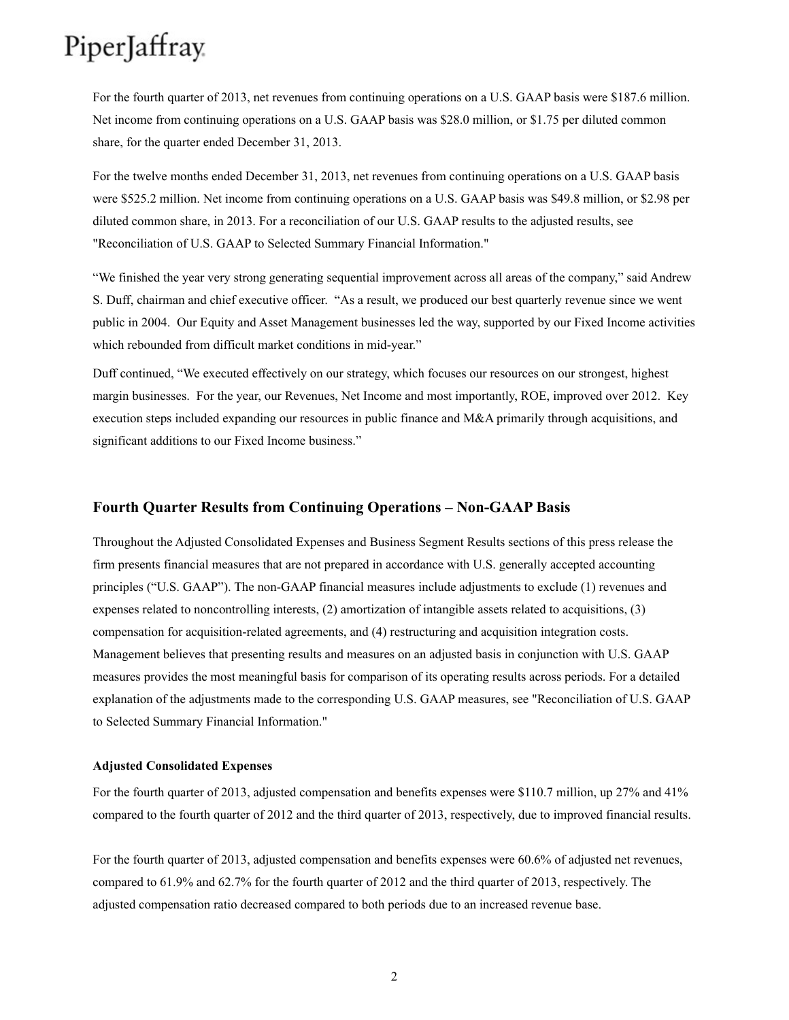For the fourth quarter of 2013, net revenues from continuing operations on a U.S. GAAP basis were \$187.6 million. Net income from continuing operations on a U.S. GAAP basis was \$28.0 million, or \$1.75 per diluted common share, for the quarter ended December 31, 2013.

For the twelve months ended December 31, 2013, net revenues from continuing operations on a U.S. GAAP basis were \$525.2 million. Net income from continuing operations on a U.S. GAAP basis was \$49.8 million, or \$2.98 per diluted common share, in 2013. For a reconciliation of our U.S. GAAP results to the adjusted results, see "Reconciliation of U.S. GAAP to Selected Summary Financial Information."

"We finished the year very strong generating sequential improvement across all areas of the company," said Andrew S. Duff, chairman and chief executive officer. "As a result, we produced our best quarterly revenue since we went public in 2004. Our Equity and Asset Management businesses led the way, supported by our Fixed Income activities which rebounded from difficult market conditions in mid-year."

Duff continued, "We executed effectively on our strategy, which focuses our resources on our strongest, highest margin businesses. For the year, our Revenues, Net Income and most importantly, ROE, improved over 2012. Key execution steps included expanding our resources in public finance and M&A primarily through acquisitions, and significant additions to our Fixed Income business."

#### **Fourth Quarter Results from Continuing Operations – Non-GAAP Basis**

Throughout the Adjusted Consolidated Expenses and Business Segment Results sections of this press release the firm presents financial measures that are not prepared in accordance with U.S. generally accepted accounting principles ("U.S. GAAP"). The non-GAAP financial measures include adjustments to exclude (1) revenues and expenses related to noncontrolling interests, (2) amortization of intangible assets related to acquisitions, (3) compensation for acquisition-related agreements, and (4) restructuring and acquisition integration costs. Management believes that presenting results and measures on an adjusted basis in conjunction with U.S. GAAP measures provides the most meaningful basis for comparison of its operating results across periods. For a detailed explanation of the adjustments made to the corresponding U.S. GAAP measures, see "Reconciliation of U.S. GAAP to Selected Summary Financial Information."

#### **Adjusted Consolidated Expenses**

For the fourth quarter of 2013, adjusted compensation and benefits expenses were \$110.7 million, up 27% and 41% compared to the fourth quarter of 2012 and the third quarter of 2013, respectively, due to improved financial results.

For the fourth quarter of 2013, adjusted compensation and benefits expenses were 60.6% of adjusted net revenues, compared to 61.9% and 62.7% for the fourth quarter of 2012 and the third quarter of 2013, respectively. The adjusted compensation ratio decreased compared to both periods due to an increased revenue base.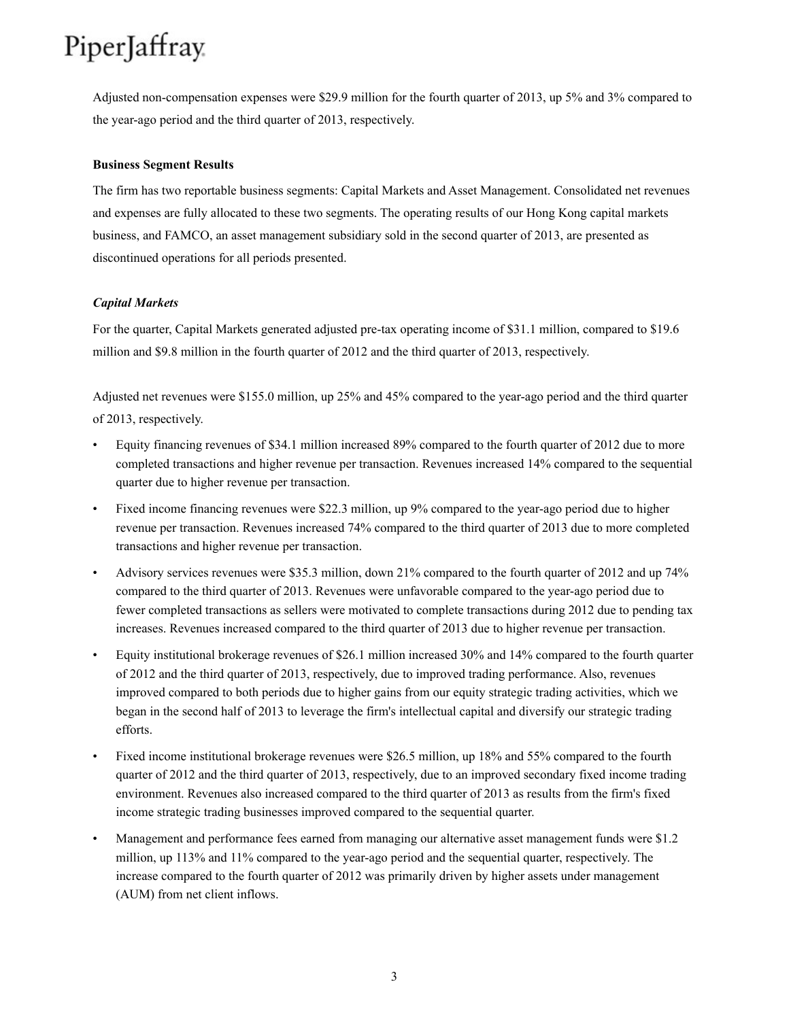Adjusted non-compensation expenses were \$29.9 million for the fourth quarter of 2013, up 5% and 3% compared to the year-ago period and the third quarter of 2013, respectively.

#### **Business Segment Results**

The firm has two reportable business segments: Capital Markets and Asset Management. Consolidated net revenues and expenses are fully allocated to these two segments. The operating results of our Hong Kong capital markets business, and FAMCO, an asset management subsidiary sold in the second quarter of 2013, are presented as discontinued operations for all periods presented.

#### *Capital Markets*

For the quarter, Capital Markets generated adjusted pre-tax operating income of \$31.1 million, compared to \$19.6 million and \$9.8 million in the fourth quarter of 2012 and the third quarter of 2013, respectively.

Adjusted net revenues were \$155.0 million, up 25% and 45% compared to the year-ago period and the third quarter of 2013, respectively.

- Equity financing revenues of \$34.1 million increased 89% compared to the fourth quarter of 2012 due to more completed transactions and higher revenue per transaction. Revenues increased 14% compared to the sequential quarter due to higher revenue per transaction.
- Fixed income financing revenues were \$22.3 million, up 9% compared to the year-ago period due to higher revenue per transaction. Revenues increased 74% compared to the third quarter of 2013 due to more completed transactions and higher revenue per transaction.
- Advisory services revenues were \$35.3 million, down 21% compared to the fourth quarter of 2012 and up 74% compared to the third quarter of 2013. Revenues were unfavorable compared to the year-ago period due to fewer completed transactions as sellers were motivated to complete transactions during 2012 due to pending tax increases. Revenues increased compared to the third quarter of 2013 due to higher revenue per transaction.
- Equity institutional brokerage revenues of \$26.1 million increased 30% and 14% compared to the fourth quarter of 2012 and the third quarter of 2013, respectively, due to improved trading performance. Also, revenues improved compared to both periods due to higher gains from our equity strategic trading activities, which we began in the second half of 2013 to leverage the firm's intellectual capital and diversify our strategic trading efforts.
- Fixed income institutional brokerage revenues were \$26.5 million, up 18% and 55% compared to the fourth quarter of 2012 and the third quarter of 2013, respectively, due to an improved secondary fixed income trading environment. Revenues also increased compared to the third quarter of 2013 as results from the firm's fixed income strategic trading businesses improved compared to the sequential quarter.
- Management and performance fees earned from managing our alternative asset management funds were \$1.2 million, up 113% and 11% compared to the year-ago period and the sequential quarter, respectively. The increase compared to the fourth quarter of 2012 was primarily driven by higher assets under management (AUM) from net client inflows.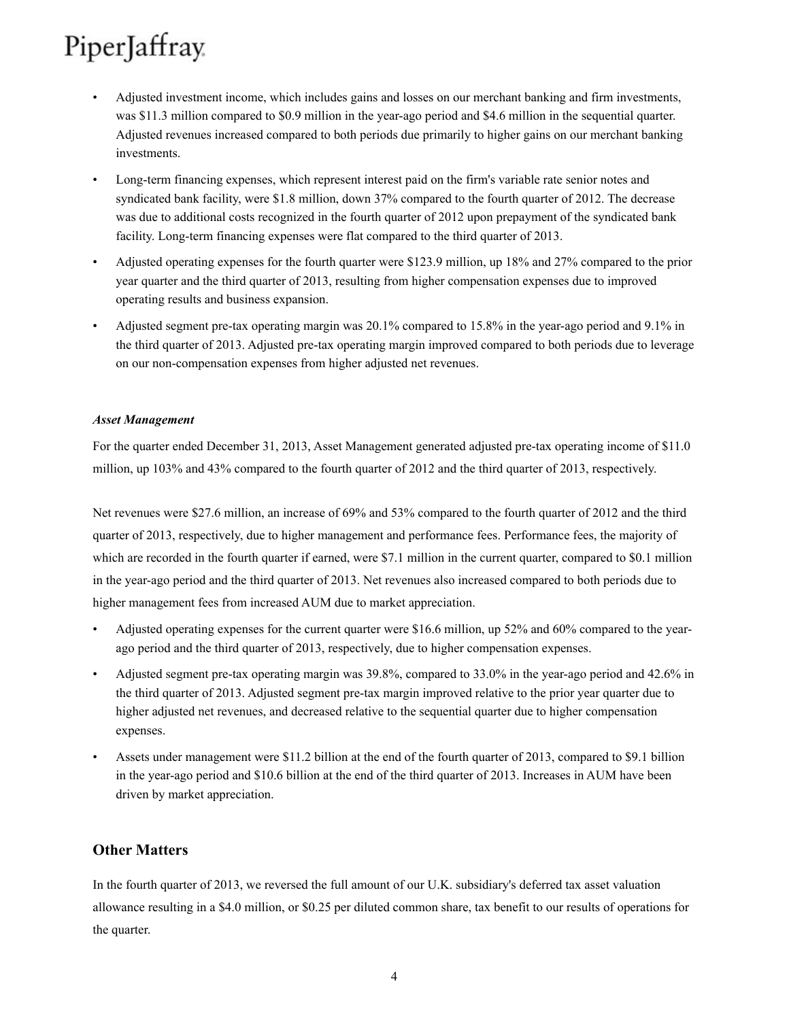- Adjusted investment income, which includes gains and losses on our merchant banking and firm investments, was \$11.3 million compared to \$0.9 million in the year-ago period and \$4.6 million in the sequential quarter. Adjusted revenues increased compared to both periods due primarily to higher gains on our merchant banking investments.
- Long-term financing expenses, which represent interest paid on the firm's variable rate senior notes and syndicated bank facility, were \$1.8 million, down 37% compared to the fourth quarter of 2012. The decrease was due to additional costs recognized in the fourth quarter of 2012 upon prepayment of the syndicated bank facility. Long-term financing expenses were flat compared to the third quarter of 2013.
- Adjusted operating expenses for the fourth quarter were \$123.9 million, up 18% and 27% compared to the prior year quarter and the third quarter of 2013, resulting from higher compensation expenses due to improved operating results and business expansion.
- Adjusted segment pre-tax operating margin was 20.1% compared to 15.8% in the year-ago period and 9.1% in the third quarter of 2013. Adjusted pre-tax operating margin improved compared to both periods due to leverage on our non-compensation expenses from higher adjusted net revenues.

#### *Asset Management*

For the quarter ended December 31, 2013, Asset Management generated adjusted pre-tax operating income of \$11.0 million, up 103% and 43% compared to the fourth quarter of 2012 and the third quarter of 2013, respectively.

Net revenues were \$27.6 million, an increase of 69% and 53% compared to the fourth quarter of 2012 and the third quarter of 2013, respectively, due to higher management and performance fees. Performance fees, the majority of which are recorded in the fourth quarter if earned, were \$7.1 million in the current quarter, compared to \$0.1 million in the year-ago period and the third quarter of 2013. Net revenues also increased compared to both periods due to higher management fees from increased AUM due to market appreciation.

- Adjusted operating expenses for the current quarter were \$16.6 million, up 52% and 60% compared to the yearago period and the third quarter of 2013, respectively, due to higher compensation expenses.
- Adjusted segment pre-tax operating margin was 39.8%, compared to 33.0% in the year-ago period and 42.6% in the third quarter of 2013. Adjusted segment pre-tax margin improved relative to the prior year quarter due to higher adjusted net revenues, and decreased relative to the sequential quarter due to higher compensation expenses.
- Assets under management were \$11.2 billion at the end of the fourth quarter of 2013, compared to \$9.1 billion in the year-ago period and \$10.6 billion at the end of the third quarter of 2013. Increases in AUM have been driven by market appreciation.

#### **Other Matters**

In the fourth quarter of 2013, we reversed the full amount of our U.K. subsidiary's deferred tax asset valuation allowance resulting in a \$4.0 million, or \$0.25 per diluted common share, tax benefit to our results of operations for the quarter.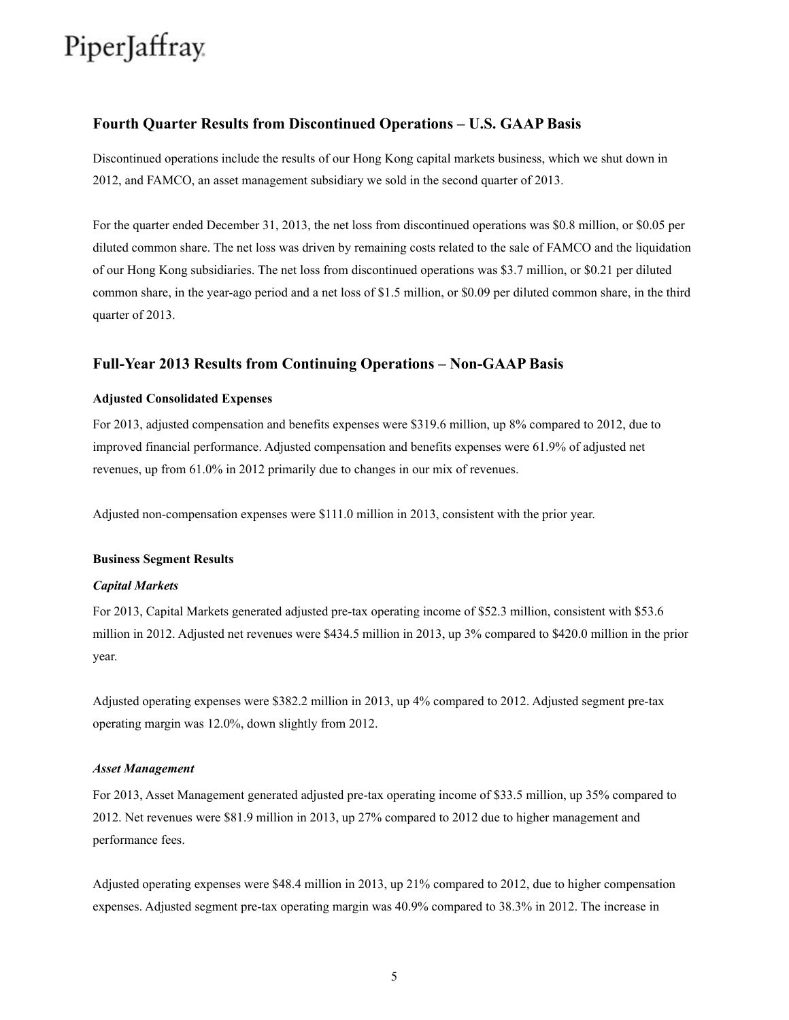#### **Fourth Quarter Results from Discontinued Operations – U.S. GAAP Basis**

Discontinued operations include the results of our Hong Kong capital markets business, which we shut down in 2012, and FAMCO, an asset management subsidiary we sold in the second quarter of 2013.

For the quarter ended December 31, 2013, the net loss from discontinued operations was \$0.8 million, or \$0.05 per diluted common share. The net loss was driven by remaining costs related to the sale of FAMCO and the liquidation of our Hong Kong subsidiaries. The net loss from discontinued operations was \$3.7 million, or \$0.21 per diluted common share, in the year-ago period and a net loss of \$1.5 million, or \$0.09 per diluted common share, in the third quarter of 2013.

#### **Full-Year 2013 Results from Continuing Operations – Non-GAAP Basis**

#### **Adjusted Consolidated Expenses**

For 2013, adjusted compensation and benefits expenses were \$319.6 million, up 8% compared to 2012, due to improved financial performance. Adjusted compensation and benefits expenses were 61.9% of adjusted net revenues, up from 61.0% in 2012 primarily due to changes in our mix of revenues.

Adjusted non-compensation expenses were \$111.0 million in 2013, consistent with the prior year.

#### **Business Segment Results**

#### *Capital Markets*

For 2013, Capital Markets generated adjusted pre-tax operating income of \$52.3 million, consistent with \$53.6 million in 2012. Adjusted net revenues were \$434.5 million in 2013, up 3% compared to \$420.0 million in the prior year.

Adjusted operating expenses were \$382.2 million in 2013, up 4% compared to 2012. Adjusted segment pre-tax operating margin was 12.0%, down slightly from 2012.

#### *Asset Management*

For 2013, Asset Management generated adjusted pre-tax operating income of \$33.5 million, up 35% compared to 2012. Net revenues were \$81.9 million in 2013, up 27% compared to 2012 due to higher management and performance fees.

Adjusted operating expenses were \$48.4 million in 2013, up 21% compared to 2012, due to higher compensation expenses. Adjusted segment pre-tax operating margin was 40.9% compared to 38.3% in 2012. The increase in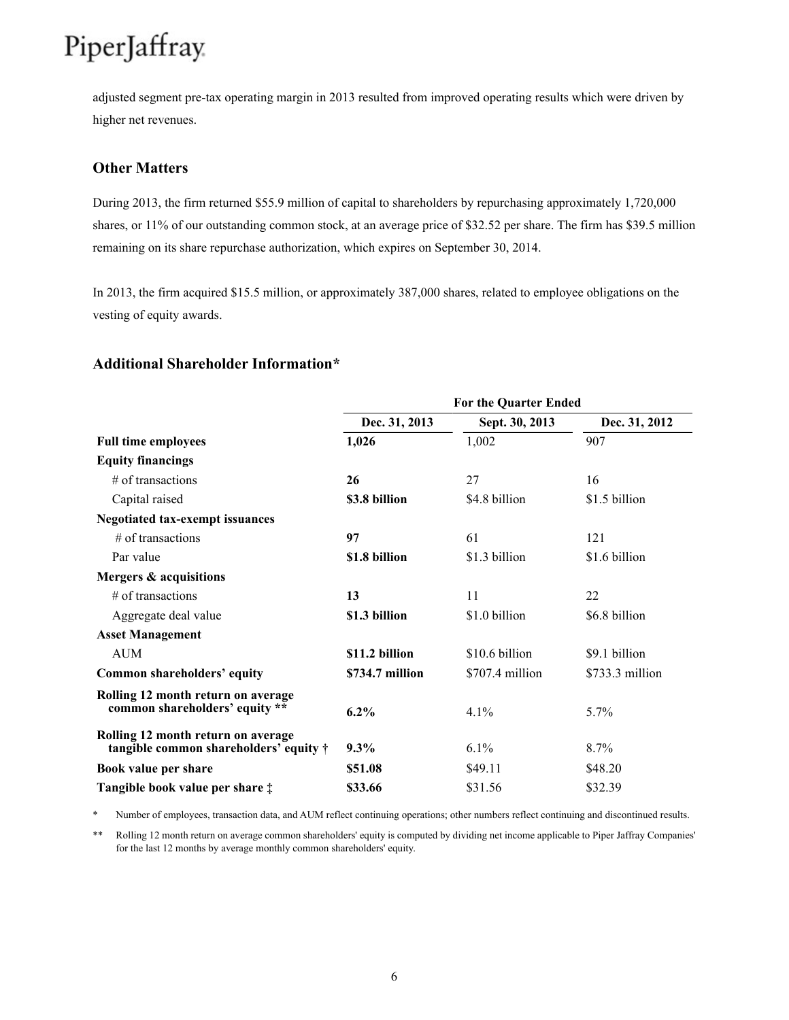adjusted segment pre-tax operating margin in 2013 resulted from improved operating results which were driven by higher net revenues.

#### **Other Matters**

During 2013, the firm returned \$55.9 million of capital to shareholders by repurchasing approximately 1,720,000 shares, or 11% of our outstanding common stock, at an average price of \$32.52 per share. The firm has \$39.5 million remaining on its share repurchase authorization, which expires on September 30, 2014.

In 2013, the firm acquired \$15.5 million, or approximately 387,000 shares, related to employee obligations on the vesting of equity awards.

#### **Additional Shareholder Information\***

|                                                                                      | <b>For the Quarter Ended</b> |                 |                  |  |  |  |  |  |  |  |
|--------------------------------------------------------------------------------------|------------------------------|-----------------|------------------|--|--|--|--|--|--|--|
|                                                                                      | Dec. 31, 2013                | Sept. 30, 2013  | Dec. 31, 2012    |  |  |  |  |  |  |  |
| <b>Full time employees</b>                                                           | 1,026                        | 1,002           | 907              |  |  |  |  |  |  |  |
| <b>Equity financings</b>                                                             |                              |                 |                  |  |  |  |  |  |  |  |
| # of transactions                                                                    | 26                           | 27              | 16               |  |  |  |  |  |  |  |
| Capital raised                                                                       | \$3.8 billion                | \$4.8 billion   | \$1.5 billion    |  |  |  |  |  |  |  |
| <b>Negotiated tax-exempt issuances</b>                                               |                              |                 |                  |  |  |  |  |  |  |  |
| # of transactions                                                                    | 97                           | 61              | 121              |  |  |  |  |  |  |  |
| Par value                                                                            | \$1.8 billion                | \$1.3 billion   | \$1.6 billion    |  |  |  |  |  |  |  |
| Mergers & acquisitions                                                               |                              |                 |                  |  |  |  |  |  |  |  |
| # of transactions                                                                    | 13                           | 11              | 22               |  |  |  |  |  |  |  |
| Aggregate deal value                                                                 | \$1.3 billion                | \$1.0 billion   | \$6.8 billion    |  |  |  |  |  |  |  |
| <b>Asset Management</b>                                                              |                              |                 |                  |  |  |  |  |  |  |  |
| <b>AUM</b>                                                                           | \$11.2 billion               | \$10.6 billion  | \$9.1 billion    |  |  |  |  |  |  |  |
| Common shareholders' equity                                                          | \$734.7 million              | \$707.4 million | $$733.3$ million |  |  |  |  |  |  |  |
| Rolling 12 month return on average<br>common shareholders' equity **                 | $6.2\%$                      | 4.1%            | 5.7%             |  |  |  |  |  |  |  |
| Rolling 12 month return on average<br>tangible common shareholders' equity $\dagger$ | $9.3\%$                      | $6.1\%$         | 8.7%             |  |  |  |  |  |  |  |
| Book value per share                                                                 | \$51.08                      | \$49.11         | \$48.20          |  |  |  |  |  |  |  |
| Tangible book value per share $\ddagger$                                             | \$33.66                      | \$31.56         | \$32.39          |  |  |  |  |  |  |  |

\* Number of employees, transaction data, and AUM reflect continuing operations; other numbers reflect continuing and discontinued results.

\*\* Rolling 12 month return on average common shareholders' equity is computed by dividing net income applicable to Piper Jaffray Companies' for the last 12 months by average monthly common shareholders' equity.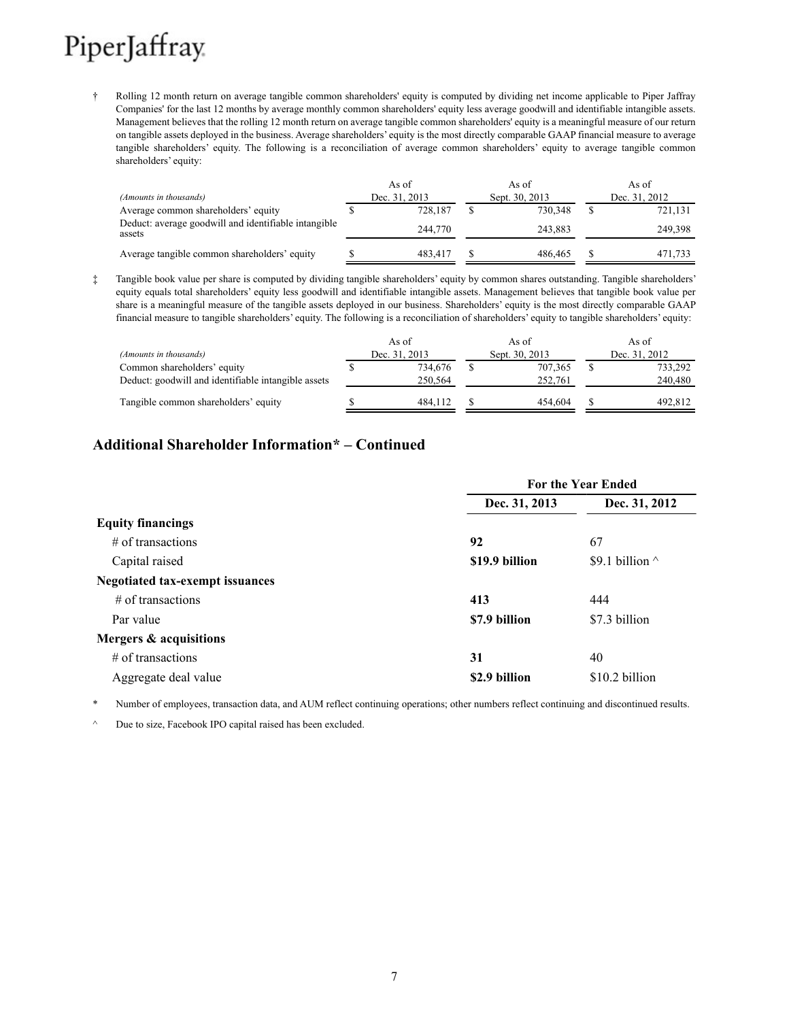† Rolling 12 month return on average tangible common shareholders' equity is computed by dividing net income applicable to Piper Jaffray Companies' for the last 12 months by average monthly common shareholders' equity less average goodwill and identifiable intangible assets. Management believes that the rolling 12 month return on average tangible common shareholders' equity is a meaningful measure of our return on tangible assets deployed in the business. Average shareholders' equity is the most directly comparable GAAP financial measure to average tangible shareholders' equity. The following is a reconciliation of average common shareholders' equity to average tangible common shareholders' equity:

| (Amounts in thousands)                                         |  | As of<br>Dec. 31, 2013 | As of<br>Sept. 30, 2013 |         |  | As of<br>Dec. 31, 2012 |
|----------------------------------------------------------------|--|------------------------|-------------------------|---------|--|------------------------|
|                                                                |  |                        |                         |         |  |                        |
| Average common shareholders' equity                            |  | 728.187                |                         | 730.348 |  | 721,131                |
| Deduct: average goodwill and identifiable intangible<br>assets |  | 244,770                |                         | 243.883 |  | 249,398                |
| Average tangible common shareholders' equity                   |  | 483.417                |                         | 486.465 |  | 471,733                |

‡ Tangible book value per share is computed by dividing tangible shareholders' equity by common shares outstanding. Tangible shareholders' equity equals total shareholders' equity less goodwill and identifiable intangible assets. Management believes that tangible book value per share is a meaningful measure of the tangible assets deployed in our business. Shareholders' equity is the most directly comparable GAAP financial measure to tangible shareholders' equity. The following is a reconciliation of shareholders' equity to tangible shareholders' equity:

|                                                     | As of         | As of          | As of         |
|-----------------------------------------------------|---------------|----------------|---------------|
| (Amounts in thousands)                              | Dec. 31, 2013 | Sept. 30, 2013 | Dec. 31, 2012 |
| Common shareholders' equity                         | 734.676       | 707.365        | 733,292       |
| Deduct: goodwill and identifiable intangible assets | 250.564       | 252.761        | 240.480       |
| Tangible common shareholders' equity                | 484.112       | 454.604        | 492.812       |

### **Additional Shareholder Information\* – Continued**

|                                        |                | <b>For the Year Ended</b> |
|----------------------------------------|----------------|---------------------------|
|                                        | Dec. 31, 2013  | Dec. 31, 2012             |
| <b>Equity financings</b>               |                |                           |
| $\#$ of transactions                   | 92             | 67                        |
| Capital raised                         | \$19.9 billion | \$9.1 billion $\wedge$    |
| <b>Negotiated tax-exempt issuances</b> |                |                           |
| $\#$ of transactions                   | 413            | 444                       |
| Par value                              | \$7.9 billion  | \$7.3 billion             |
| Mergers & acquisitions                 |                |                           |
| $\#$ of transactions                   | 31             | 40                        |
| Aggregate deal value                   | \$2.9 billion  | \$10.2 billion            |

Number of employees, transaction data, and AUM reflect continuing operations; other numbers reflect continuing and discontinued results.

^ Due to size, Facebook IPO capital raised has been excluded.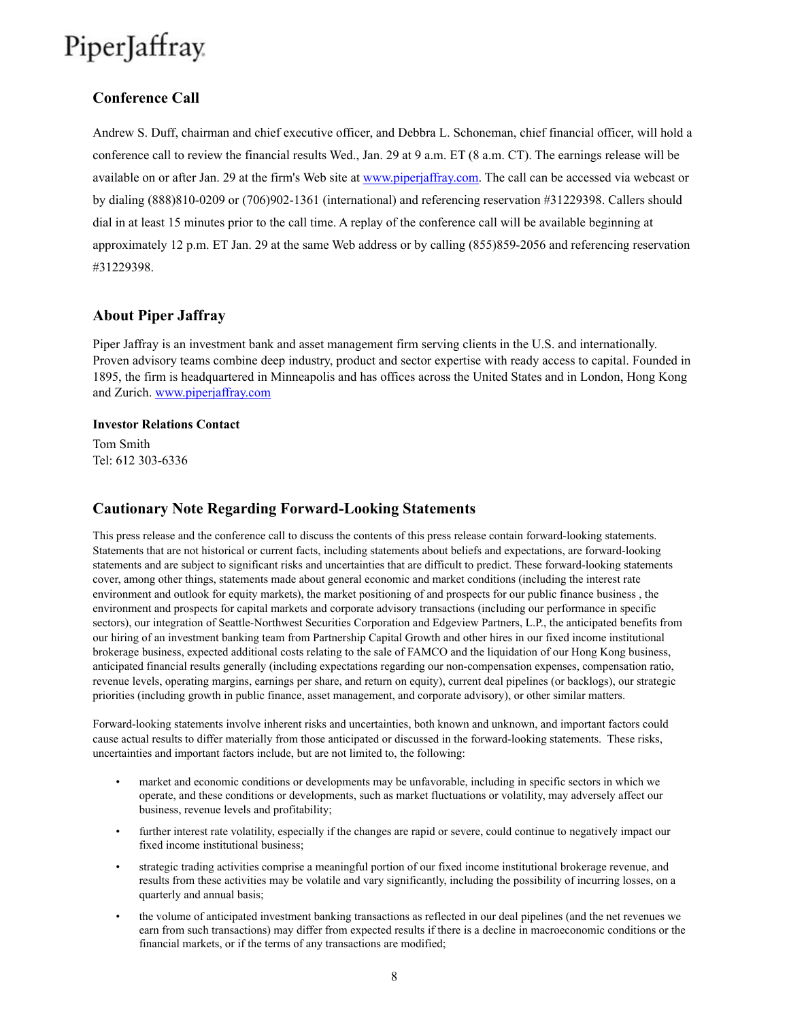### **Conference Call**

Andrew S. Duff, chairman and chief executive officer, and Debbra L. Schoneman, chief financial officer, will hold a conference call to review the financial results Wed., Jan. 29 at 9 a.m. ET (8 a.m. CT). The earnings release will be available on or after Jan. 29 at the firm's Web site at www.piperjaffray.com. The call can be accessed via webcast or by dialing (888)810-0209 or (706)902-1361 (international) and referencing reservation #31229398. Callers should dial in at least 15 minutes prior to the call time. A replay of the conference call will be available beginning at approximately 12 p.m. ET Jan. 29 at the same Web address or by calling (855)859-2056 and referencing reservation #31229398.

#### **About Piper Jaffray**

Piper Jaffray is an investment bank and asset management firm serving clients in the U.S. and internationally. Proven advisory teams combine deep industry, product and sector expertise with ready access to capital. Founded in 1895, the firm is headquartered in Minneapolis and has offices across the United States and in London, Hong Kong and Zurich. www.piperjaffray.com

#### **Investor Relations Contact**

Tom Smith Tel: 612 303-6336

#### **Cautionary Note Regarding Forward-Looking Statements**

This press release and the conference call to discuss the contents of this press release contain forward-looking statements. Statements that are not historical or current facts, including statements about beliefs and expectations, are forward-looking statements and are subject to significant risks and uncertainties that are difficult to predict. These forward-looking statements cover, among other things, statements made about general economic and market conditions (including the interest rate environment and outlook for equity markets), the market positioning of and prospects for our public finance business , the environment and prospects for capital markets and corporate advisory transactions (including our performance in specific sectors), our integration of Seattle-Northwest Securities Corporation and Edgeview Partners, L.P., the anticipated benefits from our hiring of an investment banking team from Partnership Capital Growth and other hires in our fixed income institutional brokerage business, expected additional costs relating to the sale of FAMCO and the liquidation of our Hong Kong business, anticipated financial results generally (including expectations regarding our non-compensation expenses, compensation ratio, revenue levels, operating margins, earnings per share, and return on equity), current deal pipelines (or backlogs), our strategic priorities (including growth in public finance, asset management, and corporate advisory), or other similar matters.

Forward-looking statements involve inherent risks and uncertainties, both known and unknown, and important factors could cause actual results to differ materially from those anticipated or discussed in the forward-looking statements. These risks, uncertainties and important factors include, but are not limited to, the following:

- market and economic conditions or developments may be unfavorable, including in specific sectors in which we operate, and these conditions or developments, such as market fluctuations or volatility, may adversely affect our business, revenue levels and profitability;
- further interest rate volatility, especially if the changes are rapid or severe, could continue to negatively impact our fixed income institutional business;
- strategic trading activities comprise a meaningful portion of our fixed income institutional brokerage revenue, and results from these activities may be volatile and vary significantly, including the possibility of incurring losses, on a quarterly and annual basis;
- the volume of anticipated investment banking transactions as reflected in our deal pipelines (and the net revenues we earn from such transactions) may differ from expected results if there is a decline in macroeconomic conditions or the financial markets, or if the terms of any transactions are modified;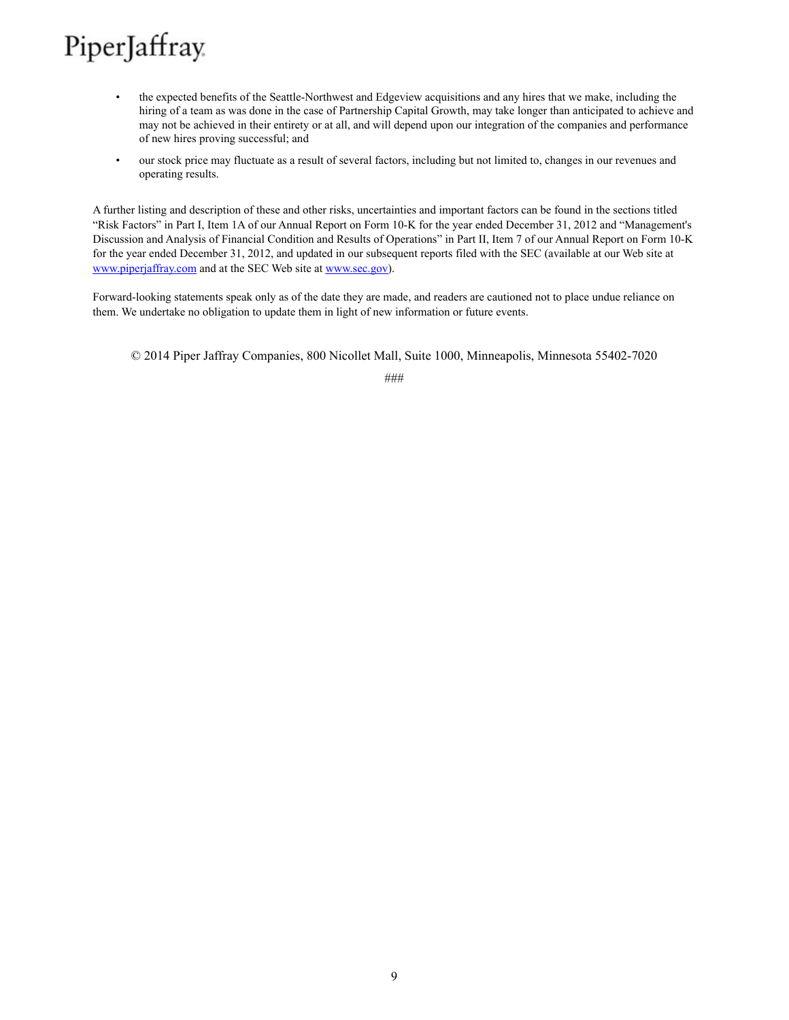- the expected benefits of the Seattle-Northwest and Edgeview acquisitions and any hires that we make, including the hiring of a team as was done in the case of Partnership Capital Growth, may take longer than anticipated to achieve and may not be achieved in their entirety or at all, and will depend upon our integration of the companies and performance of new hires proving successful; and
- our stock price may fluctuate as a result of several factors, including but not limited to, changes in our revenues and operating results.

A further listing and description of these and other risks, uncertainties and important factors can be found in the sections titled "Risk Factors" in Part I, Item 1A of our Annual Report on Form 10-K for the year ended December 31, 2012 and "Management's Discussion and Analysis of Financial Condition and Results of Operations" in Part II, Item 7 of our Annual Report on Form 10-K for the year ended December 31, 2012, and updated in our subsequent reports filed with the SEC (available at our Web site at www.piperjaffray.com and at the SEC Web site at www.sec.gov).

Forward-looking statements speak only as of the date they are made, and readers are cautioned not to place undue reliance on them. We undertake no obligation to update them in light of new information or future events.

© 2014 Piper Jaffray Companies, 800 Nicollet Mall, Suite 1000, Minneapolis, Minnesota 55402-7020

###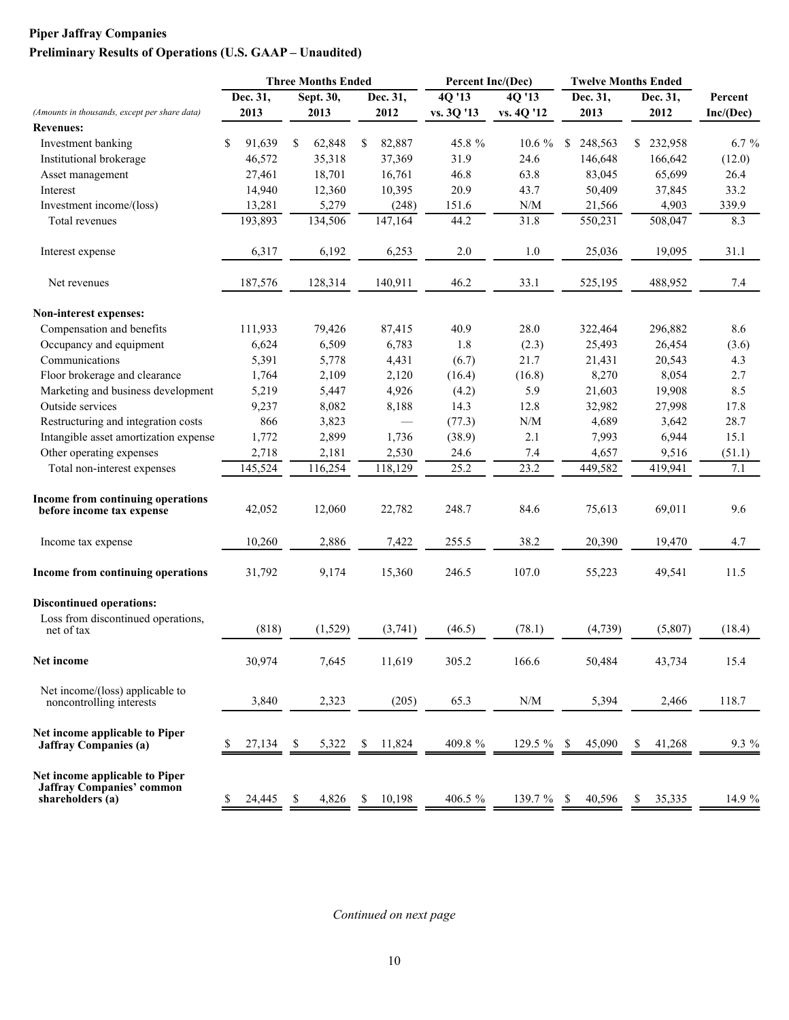### **Piper Jaffray Companies Preliminary Results of Operations (U.S. GAAP – Unaudited)**

|                                                                                   |              | <b>Three Months Ended</b> |              | Percent Inc/(Dec) |                                                             | <b>Twelve Months Ended</b> |              |           |
|-----------------------------------------------------------------------------------|--------------|---------------------------|--------------|-------------------|-------------------------------------------------------------|----------------------------|--------------|-----------|
|                                                                                   | Dec. 31,     | Sept. 30,                 | Dec. 31,     | 4Q '13            | 4Q '13                                                      | Dec. 31,                   | Dec. 31,     | Percent   |
| (Amounts in thousands, except per share data)                                     | 2013         | 2013                      | 2012         | vs. 3Q '13        | vs. 4Q '12                                                  | 2013                       | 2012         | Inc/(Dec) |
| <b>Revenues:</b>                                                                  |              |                           |              |                   |                                                             |                            |              |           |
| Investment banking                                                                | \$<br>91,639 | \$<br>62,848              | 82,887<br>\$ | 45.8 %            | $10.6 \%$                                                   | 248,563<br>$\mathbb{S}$    | \$232,958    | $6.7 \%$  |
| Institutional brokerage                                                           | 46,572       | 35,318                    | 37,369       | 31.9              | 24.6                                                        | 146,648                    | 166,642      | (12.0)    |
| Asset management                                                                  | 27,461       | 18,701                    | 16,761       | 46.8              | 63.8                                                        | 83,045                     | 65,699       | 26.4      |
| Interest                                                                          | 14,940       | 12,360                    | 10,395       | 20.9              | 43.7                                                        | 50,409                     | 37,845       | 33.2      |
| Investment income/(loss)                                                          | 13,281       | 5,279                     | (248)        | 151.6             | $\ensuremath{\text{N}}\xspace/\ensuremath{\text{M}}\xspace$ | 21,566                     | 4,903        | 339.9     |
| Total revenues                                                                    | 193,893      | 134,506                   | 147,164      | 44.2              | 31.8                                                        | 550,231                    | 508,047      | 8.3       |
| Interest expense                                                                  | 6,317        | 6,192                     | 6,253        | $2.0\,$           | 1.0                                                         | 25,036                     | 19,095       | 31.1      |
| Net revenues                                                                      | 187,576      | 128,314                   | 140,911      | 46.2              | 33.1                                                        | 525,195                    | 488,952      | 7.4       |
| Non-interest expenses:                                                            |              |                           |              |                   |                                                             |                            |              |           |
| Compensation and benefits                                                         | 111,933      | 79,426                    | 87,415       | 40.9              | 28.0                                                        | 322,464                    | 296,882      | 8.6       |
| Occupancy and equipment                                                           | 6,624        | 6,509                     | 6,783        | 1.8               | (2.3)                                                       | 25,493                     | 26,454       | (3.6)     |
| Communications                                                                    | 5,391        | 5,778                     | 4,431        | (6.7)             | 21.7                                                        | 21,431                     | 20,543       | 4.3       |
| Floor brokerage and clearance                                                     | 1,764        | 2,109                     | 2,120        | (16.4)            | (16.8)                                                      | 8,270                      | 8,054        | 2.7       |
| Marketing and business development                                                | 5,219        | 5,447                     | 4,926        | (4.2)             | 5.9                                                         | 21,603                     | 19,908       | 8.5       |
| Outside services                                                                  | 9,237        | 8,082                     | 8,188        | 14.3              | 12.8                                                        | 32,982                     | 27,998       | 17.8      |
| Restructuring and integration costs                                               | 866          | 3,823                     |              | (77.3)            | $\ensuremath{\text{N}}\xspace/\ensuremath{\text{M}}\xspace$ | 4,689                      | 3,642        | 28.7      |
| Intangible asset amortization expense                                             | 1,772        | 2,899                     | 1,736        | (38.9)            | 2.1                                                         | 7,993                      | 6,944        | 15.1      |
| Other operating expenses                                                          | 2,718        | 2,181                     | 2,530        | 24.6              | 7.4                                                         | 4,657                      | 9,516        | (51.1)    |
| Total non-interest expenses                                                       | 145,524      | 116,254                   | 118,129      | 25.2              | 23.2                                                        | 449,582                    | 419,941      | 7.1       |
| <b>Income from continuing operations</b><br>before income tax expense             | 42,052       | 12,060                    | 22,782       | 248.7             | 84.6                                                        | 75,613                     | 69,011       | 9.6       |
| Income tax expense                                                                | 10,260       | 2,886                     | 7,422        | 255.5             | 38.2                                                        | 20,390                     | 19,470       | 4.7       |
| Income from continuing operations                                                 | 31,792       | 9,174                     | 15,360       | 246.5             | 107.0                                                       | 55,223                     | 49,541       | 11.5      |
| <b>Discontinued operations:</b>                                                   |              |                           |              |                   |                                                             |                            |              |           |
| Loss from discontinued operations,<br>net of tax                                  | (818)        | (1,529)                   | (3,741)      | (46.5)            | (78.1)                                                      | (4,739)                    | (5,807)      | (18.4)    |
| Net income                                                                        | 30,974       | 7,645                     | 11,619       | 305.2             | 166.6                                                       | 50,484                     | 43,734       | 15.4      |
| Net income/(loss) applicable to<br>noncontrolling interests                       | 3,840        | 2,323                     | (205)        | 65.3              | $\ensuremath{\text{N}}\xspace/\ensuremath{\text{M}}\xspace$ | 5,394                      | 2,466        | 118.7     |
| Net income applicable to Piper<br>Jaffray Companies (a)                           | 27,134<br>S  | 5,322<br>\$               | 11,824<br>\$ | 409.8 %           | 129.5 %                                                     | 45,090<br>-S               | 41,268<br>S  | 9.3 %     |
| Net income applicable to Piper<br>Jaffray Companies' common<br>shareholders $(a)$ | 24,445<br>Y. | 4,826<br>\$               | 10,198<br>\$ | 406.5 %           | 139.7 % \$                                                  | 40,596                     | 35,335<br>\$ | 14.9 %    |

*Continued on next page*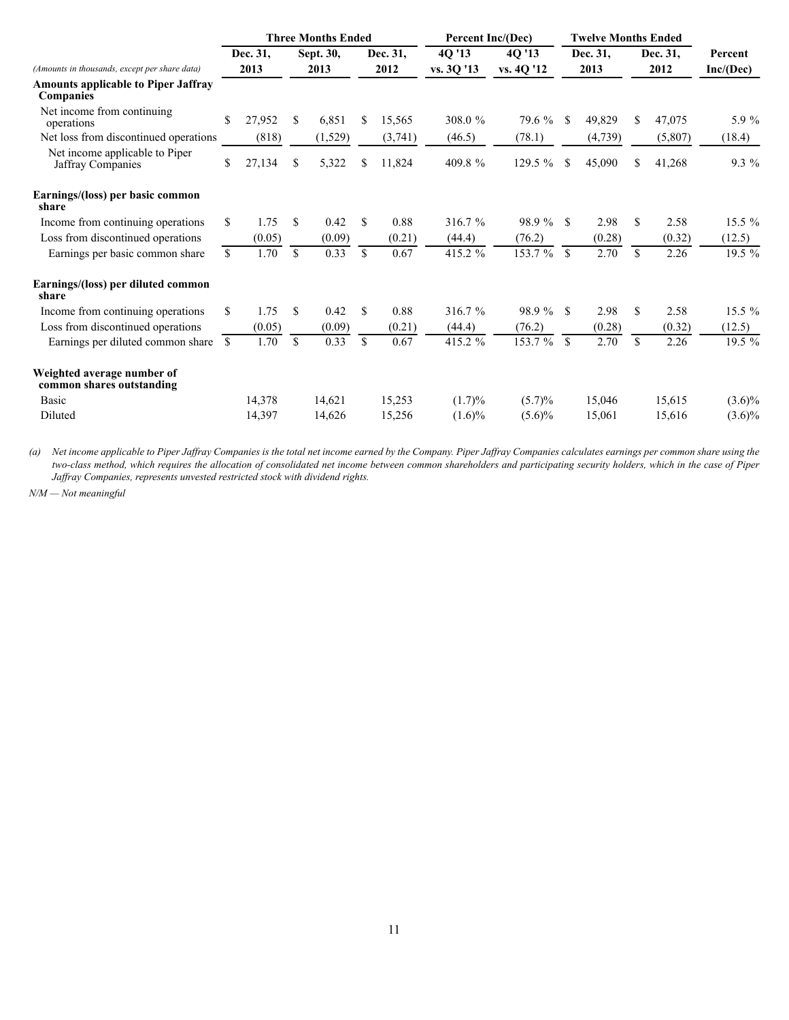|                                                                |              |          |             | <b>Three Months Ended</b> |              |          | <b>Percent Inc/(Dec)</b> |            |               | <b>Twelve Months Ended</b> |             |          |           |
|----------------------------------------------------------------|--------------|----------|-------------|---------------------------|--------------|----------|--------------------------|------------|---------------|----------------------------|-------------|----------|-----------|
|                                                                |              | Dec. 31, |             | Sept. 30,                 |              | Dec. 31, | 4Q '13                   | 4Q '13     |               | Dec. 31,                   |             | Dec. 31, | Percent   |
| (Amounts in thousands, except per share data)                  |              | 2013     | 2013        |                           |              | 2012     | vs. 3Q '13               | vs. 4Q '12 | 2013          |                            |             | 2012     | Inc/(Dec) |
| <b>Amounts applicable to Piper Jaffray</b><br><b>Companies</b> |              |          |             |                           |              |          |                          |            |               |                            |             |          |           |
| Net income from continuing<br>operations                       | \$           | 27,952   | \$          | 6,851                     | S            | 15,565   | 308.0%                   | 79.6 %     | <sup>\$</sup> | 49,829                     | S           | 47,075   | 5.9 %     |
| Net loss from discontinued operations                          |              | (818)    |             | (1,529)                   |              | (3,741)  | (46.5)                   | (78.1)     |               | (4, 739)                   |             | (5,807)  | (18.4)    |
| Net income applicable to Piper<br>Jaffray Companies            | \$           | 27,134   | \$          | 5,322                     | \$           | 11,824   | 409.8 %                  | 129.5 %    | <sup>\$</sup> | 45,090                     | \$          | 41,268   | 9.3 %     |
| Earnings/(loss) per basic common<br>share                      |              |          |             |                           |              |          |                          |            |               |                            |             |          |           |
| Income from continuing operations                              | \$           | 1.75     | \$          | 0.42                      | \$           | 0.88     | 316.7 %                  | 98.9 %     | <sup>\$</sup> | 2.98                       | \$          | 2.58     | $15.5\%$  |
| Loss from discontinued operations                              |              | (0.05)   |             | (0.09)                    |              | (0.21)   | (44.4)                   | (76.2)     |               | (0.28)                     |             | (0.32)   | (12.5)    |
| Earnings per basic common share                                | $\mathbb{S}$ | 1.70     | $\mathbf S$ | 0.33                      | $\mathbf S$  | 0.67     | 415.2 %                  | 153.7 %    | $\mathbf S$   | 2.70                       | $\mathbf S$ | 2.26     | 19.5 %    |
| Earnings/(loss) per diluted common<br>share                    |              |          |             |                           |              |          |                          |            |               |                            |             |          |           |
| Income from continuing operations                              | \$           | 1.75     | \$          | 0.42                      | \$           | 0.88     | 316.7 %                  | 98.9 %     | -S            | 2.98                       | \$          | 2.58     | $15.5\%$  |
| Loss from discontinued operations                              |              | (0.05)   |             | (0.09)                    |              | (0.21)   | (44.4)                   | (76.2)     |               | (0.28)                     |             | (0.32)   | (12.5)    |
| Earnings per diluted common share                              | \$           | 1.70     | \$.         | 0.33                      | $\mathbf{s}$ | 0.67     | 415.2 %                  | 153.7 %    | $\mathcal{S}$ | 2.70                       | \$          | 2.26     | 19.5 %    |
| Weighted average number of<br>common shares outstanding        |              |          |             |                           |              |          |                          |            |               |                            |             |          |           |
| <b>Basic</b>                                                   |              | 14,378   |             | 14,621                    |              | 15,253   | (1.7)%                   | (5.7)%     |               | 15,046                     |             | 15,615   | $(3.6)\%$ |
| Diluted                                                        |              | 14,397   |             | 14,626                    |              | 15,256   | $(1.6)\%$                | $(5.6)\%$  |               | 15,061                     |             | 15,616   | $(3.6)\%$ |

*(a) Net income applicable to Piper Jaffray Companies is the total net income earned by the Company. Piper Jaffray Companies calculates earnings per common share using the two-class method, which requires the allocation of consolidated net income between common shareholders and participating security holders, which in the case of Piper Jaffray Companies, represents unvested restricted stock with dividend rights.*

*N/M — Not meaningful*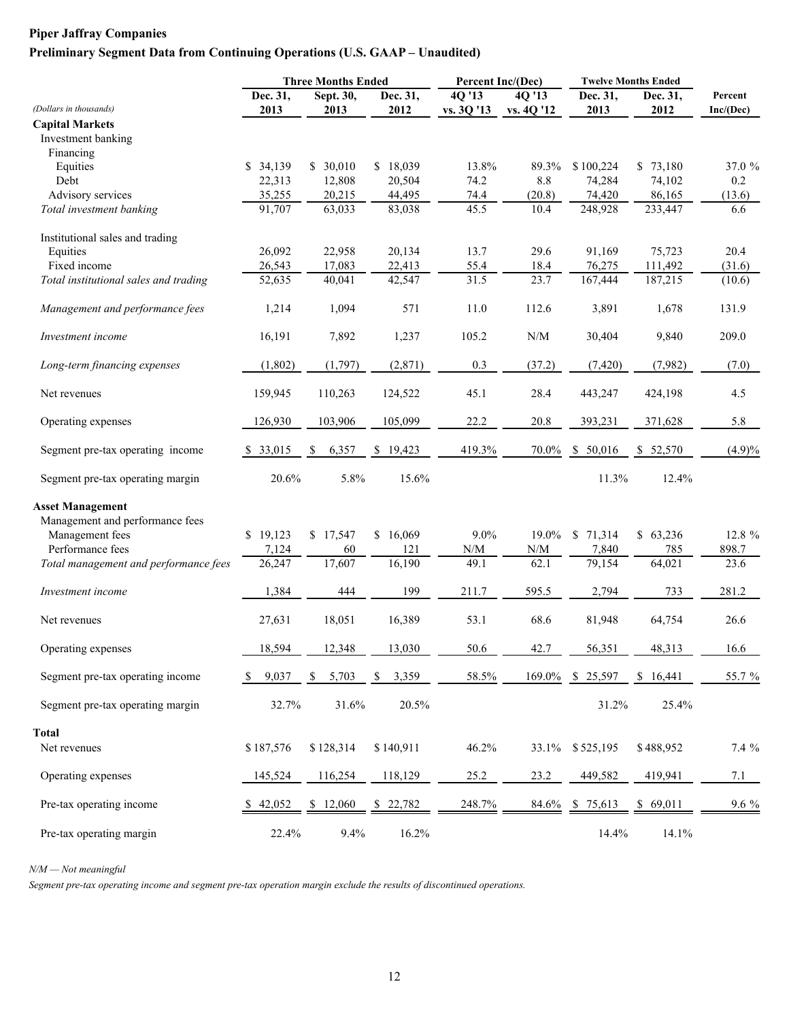### **Piper Jaffray Companies Preliminary Segment Data from Continuing Operations (U.S. GAAP – Unaudited)**

|                                              | <b>Three Months Ended</b> |             |           | Percent Inc/(Dec)                                           |                                                             | <b>Twelve Months Ended</b> |           |           |
|----------------------------------------------|---------------------------|-------------|-----------|-------------------------------------------------------------|-------------------------------------------------------------|----------------------------|-----------|-----------|
|                                              | Dec. 31,                  | Sept. 30,   | Dec. 31,  | 4Q '13                                                      | 40'13                                                       | Dec. 31,                   | Dec. 31,  | Percent   |
| (Dollars in thousands)                       | 2013                      | 2013        | 2012      | vs. 3Q '13                                                  | vs. 4Q '12                                                  | 2013                       | 2012      | Inc/(Dec) |
| <b>Capital Markets</b><br>Investment banking |                           |             |           |                                                             |                                                             |                            |           |           |
| Financing                                    |                           |             |           |                                                             |                                                             |                            |           |           |
| Equities                                     | \$34,139                  | \$30,010    | \$18,039  | 13.8%                                                       | 89.3%                                                       | \$100,224                  | \$73,180  | 37.0 %    |
| Debt                                         | 22,313                    | 12,808      | 20,504    | 74.2                                                        | 8.8                                                         | 74,284                     | 74,102    | 0.2       |
| Advisory services                            | 35,255                    | 20,215      | 44,495    | 74.4                                                        | (20.8)                                                      | 74,420                     | 86,165    | (13.6)    |
| Total investment banking                     | 91,707                    | 63,033      | 83,038    | 45.5                                                        | 10.4                                                        | 248,928                    | 233,447   | 6.6       |
| Institutional sales and trading              |                           |             |           |                                                             |                                                             |                            |           |           |
| Equities                                     | 26,092                    | 22,958      | 20,134    | 13.7                                                        | 29.6                                                        | 91,169                     | 75,723    | 20.4      |
| Fixed income                                 | 26,543                    | 17,083      | 22,413    | 55.4                                                        | 18.4                                                        | 76,275                     | 111,492   | (31.6)    |
| Total institutional sales and trading        | 52,635                    | 40,041      | 42,547    | 31.5                                                        | 23.7                                                        | 167,444                    | 187,215   | (10.6)    |
| Management and performance fees              | 1,214                     | 1,094       | 571       | 11.0                                                        | 112.6                                                       | 3,891                      | 1,678     | 131.9     |
| Investment income                            | 16,191                    | 7,892       | 1,237     | 105.2                                                       | N/M                                                         | 30,404                     | 9,840     | 209.0     |
| Long-term financing expenses                 | (1,802)                   | (1,797)     | (2,871)   | 0.3                                                         | (37.2)                                                      | (7, 420)                   | (7,982)   | (7.0)     |
| Net revenues                                 | 159,945                   | 110,263     | 124,522   | 45.1                                                        | 28.4                                                        | 443,247                    | 424,198   | 4.5       |
| Operating expenses                           | 126,930                   | 103,906     | 105,099   | 22.2                                                        | 20.8                                                        | 393,231                    | 371,628   | 5.8       |
| Segment pre-tax operating income             | \$33,015                  | 6,357<br>\$ | \$19,423  | 419.3%                                                      | 70.0%                                                       | \$50,016                   | \$52,570  | (4.9)%    |
| Segment pre-tax operating margin             | 20.6%                     | 5.8%        | 15.6%     |                                                             |                                                             | 11.3%                      | 12.4%     |           |
| <b>Asset Management</b>                      |                           |             |           |                                                             |                                                             |                            |           |           |
| Management and performance fees              |                           |             |           |                                                             |                                                             |                            |           |           |
| Management fees                              | \$19,123                  | \$17,547    | \$16,069  | $9.0\%$                                                     | 19.0%                                                       | \$71,314                   | \$63,236  | 12.8 %    |
| Performance fees                             | 7,124                     | 60          | 121       | $\ensuremath{\text{N}}\xspace/\ensuremath{\text{M}}\xspace$ | $\ensuremath{\text{N}}\xspace/\ensuremath{\text{M}}\xspace$ | 7,840                      | 785       | 898.7     |
| Total management and performance fees        | 26,247                    | 17,607      | 16,190    | 49.1                                                        | 62.1                                                        | 79,154                     | 64,021    | 23.6      |
| Investment income                            | 1,384                     | 444         | 199       | 211.7                                                       | 595.5                                                       | 2,794                      | 733       | 281.2     |
| Net revenues                                 | 27,631                    | 18,051      | 16,389    | 53.1                                                        | 68.6                                                        | 81,948                     | 64,754    | 26.6      |
| Operating expenses                           | 18,594                    | 12,348      | 13,030    | 50.6                                                        | 42.7                                                        | 56,351                     | 48,313    | 16.6      |
| Segment pre-tax operating income             | 9,037<br>S.               | 5,703<br>S, | \$3,359   | 58.5%                                                       |                                                             | 169.0% \$ 25,597           | \$16,441  | 55.7 %    |
| Segment pre-tax operating margin             | 32.7%                     | 31.6%       | $20.5\%$  |                                                             |                                                             | 31.2%                      | 25.4%     |           |
| <b>Total</b>                                 |                           |             |           |                                                             |                                                             |                            |           |           |
| Net revenues                                 | \$187,576                 | \$128,314   | \$140,911 | 46.2%                                                       |                                                             | 33.1% \$525,195            | \$488,952 | $7.4\%$   |
|                                              |                           |             |           |                                                             |                                                             |                            |           |           |
| Operating expenses                           | 145,524                   | 116,254     | 118,129   | 25.2                                                        | 23.2                                                        | 449,582                    | 419,941   | 7.1       |
| Pre-tax operating income                     | 42,052                    | \$12,060    | \$22,782  | 248.7%                                                      | 84.6%                                                       | \$75,613                   | \$69,011  | $9.6\%$   |
| Pre-tax operating margin                     | 22.4%                     | 9.4%        | 16.2%     |                                                             |                                                             | 14.4%                      | 14.1%     |           |

*N/M — Not meaningful*

*Segment pre-tax operating income and segment pre-tax operation margin exclude the results of discontinued operations.*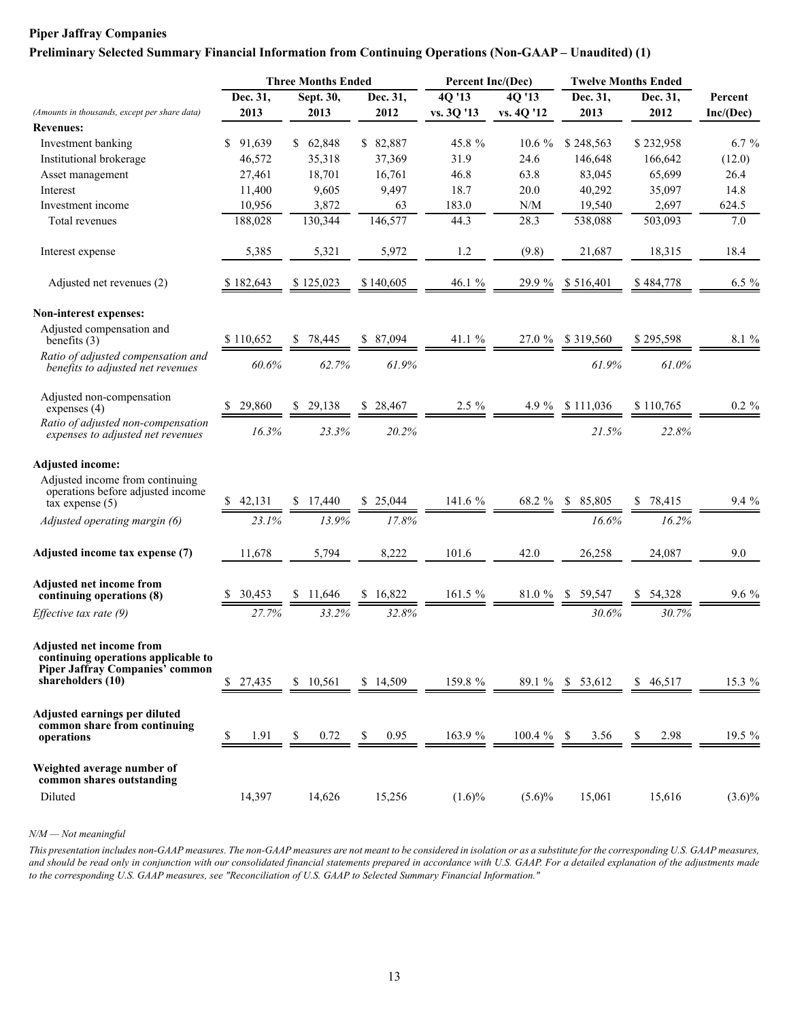#### **Piper Jaffray Companies**

#### **Preliminary Selected Summary Financial Information from Continuing Operations (Non-GAAP – Unaudited) (1)**

|                                                                                                           |              | <b>Three Months Ended</b> |              | Percent Inc/(Dec) |            |                 | <b>Twelve Months Ended</b> |           |
|-----------------------------------------------------------------------------------------------------------|--------------|---------------------------|--------------|-------------------|------------|-----------------|----------------------------|-----------|
|                                                                                                           | Dec. 31,     | Sept. 30,                 | Dec. 31,     | 4Q '13            | 40'13      | Dec. 31,        | Dec. 31,                   | Percent   |
| (Amounts in thousands, except per share data)                                                             | 2013         | 2013                      | 2012         | vs. 3Q '13        | vs. 4Q '12 | 2013            | 2012                       | Inc/(Dec) |
| <b>Revenues:</b>                                                                                          |              |                           |              |                   |            |                 |                            |           |
| Investment banking                                                                                        | \$<br>91,639 | \$62,848                  | \$ 82,887    | 45.8 %            | $10.6\%$   | \$248,563       | \$232,958                  | $6.7 \%$  |
| Institutional brokerage                                                                                   | 46,572       | 35,318                    | 37,369       | 31.9              | 24.6       | 146,648         | 166,642                    | (12.0)    |
| Asset management                                                                                          | 27,461       | 18,701                    | 16,761       | 46.8              | 63.8       | 83,045          | 65,699                     | 26.4      |
| Interest                                                                                                  | 11,400       | 9,605                     | 9,497        | 18.7              | 20.0       | 40,292          | 35,097                     | 14.8      |
| Investment income                                                                                         | 10,956       | 3,872                     | 63           | 183.0             | N/M        | 19,540          | 2,697                      | 624.5     |
| Total revenues                                                                                            | 188,028      | 130,344                   | 146,577      | 44.3              | 28.3       | 538,088         | 503,093                    | 7.0       |
| Interest expense                                                                                          | 5,385        | 5,321                     | 5,972        | 1.2               | (9.8)      | 21,687          | 18,315                     | 18.4      |
| Adjusted net revenues (2)                                                                                 | \$182,643    | \$125,023                 | \$140,605    | 46.1 %            | $29.9\%$   | \$516,401       | \$484,778                  | 6.5 %     |
| Non-interest expenses:                                                                                    |              |                           |              |                   |            |                 |                            |           |
| Adjusted compensation and<br>benefits $(3)$                                                               | \$110,652    | 78,445<br>\$              | 87.094<br>\$ | 41.1 $%$          | 27.0 %     | \$319,560       | \$295,598                  | 8.1 %     |
| Ratio of adjusted compensation and<br>benefits to adjusted net revenues                                   | 60.6%        | 62.7%                     | 61.9%        |                   |            | 61.9%           | 61.0%                      |           |
| Adjusted non-compensation<br>expenses $(4)$                                                               | 29,860       | 29,138<br>S.              | 28,467<br>S. | 2.5 %             |            | 4.9 % \$111,036 | \$110,765                  | $0.2 \%$  |
| Ratio of adjusted non-compensation<br>expenses to adjusted net revenues                                   | 16.3%        | 23.3%                     | 20.2%        |                   |            | 21.5%           | 22.8%                      |           |
| <b>Adjusted income:</b>                                                                                   |              |                           |              |                   |            |                 |                            |           |
| Adjusted income from continuing<br>operations before adjusted income<br>$\overline{ax}$ expense $(5)$     | \$<br>42,131 | S.<br>17,440              | \$25,044     | 141.6 %           | 68.2 %     | 85,805<br>S     | 78,415                     | $9.4\%$   |
| Adjusted operating margin (6)                                                                             | 23.1%        | 13.9%                     | 17.8%        |                   |            | 16.6%           | 16.2%                      |           |
| Adjusted income tax expense (7)                                                                           | 11,678       | 5,794                     | 8,222        | 101.6             | 42.0       | 26,258          | 24,087                     | 9.0       |
| <b>Adjusted net income from</b><br>continuing operations (8)                                              | 30.453       | 11,646<br>S.              | \$<br>16,822 | 161.5 %           | 81.0 %     | 59,547<br>S     | 54,328                     | $9.6\%$   |
| Effective tax rate (9)                                                                                    | 27.7%        | 33.2%                     | 32.8%        |                   |            | 30.6%           | 30.7%                      |           |
| Adjusted net income from<br>continuing operations applicable to<br><b>Piper Jaffray Companies' common</b> |              |                           |              |                   |            |                 |                            |           |
| shareholders (10)                                                                                         | \$<br>27,435 | \$10,561                  | \$14,509     | 159.8 %           | 89.1 %     | \$53,612        | \$46,517                   | 15.3 %    |
| Adjusted earnings per diluted                                                                             |              |                           |              |                   |            |                 |                            |           |
| common share from continuing<br>operations                                                                | \$<br>1.91   | 0.72<br>\$                | \$<br>0.95   | 163.9 %           | $100.4 \%$ | 3.56<br>- \$    | 2.98<br>\$                 | 19.5 %    |
| Weighted average number of<br>common shares outstanding                                                   |              |                           |              |                   |            |                 |                            |           |
| Diluted                                                                                                   | 14,397       | 14,626                    | 15,256       | $(1.6)\%$         | $(5.6)\%$  | 15,061          | 15,616                     | $(3.6)\%$ |

#### *N/M — Not meaningful*

*This presentation includes non-GAAP measures. The non-GAAP measures are not meant to be considered in isolation or as a substitute for the corresponding U.S. GAAP measures, and should be read only in conjunction with our consolidated financial statements prepared in accordance with U.S. GAAP. For a detailed explanation of the adjustments made to the corresponding U.S. GAAP measures, see "Reconciliation of U.S. GAAP to Selected Summary Financial Information."*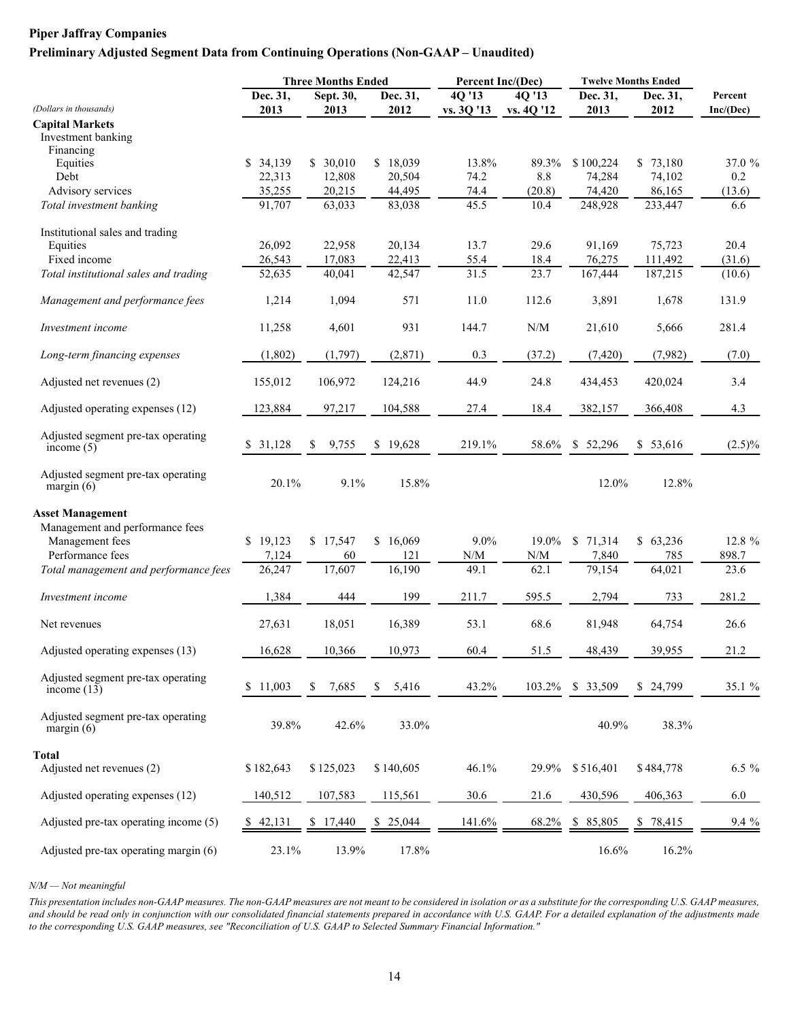#### **Piper Jaffray Companies Preliminary Adjusted Segment Data from Continuing Operations (Non-GAAP – Unaudited)**

|                                                     | <b>Three Months Ended</b> |                   |                  | Percent Inc/(Dec)                                           |                     | <b>Twelve Months Ended</b> |                  |                      |
|-----------------------------------------------------|---------------------------|-------------------|------------------|-------------------------------------------------------------|---------------------|----------------------------|------------------|----------------------|
| (Dollars in thousands)                              | Dec. 31,<br>2013          | Sept. 30,<br>2013 | Dec. 31,<br>2012 | $4Q$ <sup><math>13</math></sup><br>vs. 3Q '13               | 40'13<br>vs. 4Q '12 | Dec. 31,<br>2013           | Dec. 31,<br>2012 | Percent<br>Inc/(Dec) |
| <b>Capital Markets</b>                              |                           |                   |                  |                                                             |                     |                            |                  |                      |
| Investment banking                                  |                           |                   |                  |                                                             |                     |                            |                  |                      |
| Financing                                           |                           |                   |                  |                                                             |                     |                            |                  |                      |
| Equities                                            | \$34,139                  | \$30,010          | \$18,039         | 13.8%                                                       | 89.3%               | \$100,224                  | \$73,180         | 37.0 %               |
| Debt                                                | 22,313                    | 12,808            | 20,504           | 74.2                                                        | 8.8                 | 74,284                     | 74,102           | 0.2                  |
| Advisory services                                   | 35,255                    | 20,215            | 44,495           | 74.4                                                        | (20.8)              | 74,420                     | 86,165           | (13.6)               |
| Total investment banking                            | 91,707                    | 63,033            | 83,038           | 45.5                                                        | 10.4                | 248,928                    | 233,447          | 6.6                  |
|                                                     |                           |                   |                  |                                                             |                     |                            |                  |                      |
| Institutional sales and trading                     |                           |                   |                  |                                                             |                     |                            |                  |                      |
| Equities                                            | 26,092                    | 22,958            | 20,134           | 13.7                                                        | 29.6                | 91,169                     | 75,723           | 20.4                 |
| Fixed income                                        | 26,543                    | 17,083            | 22,413           | 55.4                                                        | 18.4                | 76,275                     | 111,492          | (31.6)               |
| Total institutional sales and trading               | 52,635                    | 40,041            | 42,547           | 31.5                                                        | 23.7                | 167,444                    | 187,215          | (10.6)               |
| Management and performance fees                     | 1,214                     | 1,094             | 571              | 11.0                                                        | 112.6               | 3,891                      | 1,678            | 131.9                |
| Investment income                                   | 11,258                    | 4,601             | 931              | 144.7                                                       | N/M                 | 21,610                     | 5,666            | 281.4                |
| Long-term financing expenses                        | (1,802)                   | (1,797)           | (2,871)          | 0.3                                                         | (37.2)              | (7, 420)                   | (7,982)          | (7.0)                |
| Adjusted net revenues (2)                           | 155,012                   | 106,972           | 124,216          | 44.9                                                        | 24.8                | 434,453                    | 420,024          | 3.4                  |
| Adjusted operating expenses (12)                    | 123,884                   | 97,217            | 104,588          | 27.4                                                        | 18.4                | 382,157                    | 366,408          | 4.3                  |
| Adjusted segment pre-tax operating<br>income $(5)$  | \$31,128                  | 9,755<br>\$       | \$19,628         | 219.1%                                                      | 58.6%               | \$52,296                   | \$3,616          | $(2.5)\%$            |
| Adjusted segment pre-tax operating<br>margin $(6)$  | 20.1%                     | 9.1%              | 15.8%            |                                                             |                     | 12.0%                      | 12.8%            |                      |
| <b>Asset Management</b>                             |                           |                   |                  |                                                             |                     |                            |                  |                      |
| Management and performance fees                     |                           |                   |                  |                                                             |                     |                            |                  |                      |
| Management fees                                     | \$19,123                  | \$17,547          | \$16,069         | $9.0\%$                                                     | 19.0%               | 71,314<br>\$               | \$63,236         | 12.8 %               |
| Performance fees                                    | 7,124                     | 60                | 121              | $\ensuremath{\text{N}}\xspace/\ensuremath{\text{M}}\xspace$ | N/M                 | 7,840                      | 785              | 898.7                |
| Total management and performance fees               | 26,247                    | 17,607            | 16,190           | 49.1                                                        | 62.1                | 79,154                     | 64,021           | 23.6                 |
|                                                     |                           |                   |                  |                                                             |                     |                            |                  |                      |
| Investment income                                   | 1,384                     | 444               | 199              | 211.7                                                       | 595.5               | 2,794                      | 733              | 281.2                |
| Net revenues                                        | 27,631                    | 18,051            | 16,389           | 53.1                                                        | 68.6                | 81,948                     | 64,754           | 26.6                 |
| Adjusted operating expenses (13)                    | 16,628                    | 10,366            | 10,973           | 60.4                                                        | 51.5                | 48,439                     | 39,955           | 21.2                 |
| Adjusted segment pre-tax operating<br>income $(13)$ | \$11,003                  | 7,685<br>\$       | 5,416<br>\$      | 43.2%                                                       | 103.2%              | 33,509<br>\$               | \$24,799         | 35.1 %               |
| Adjusted segment pre-tax operating<br>margin $(6)$  | 39.8%                     | 42.6%             | 33.0%            |                                                             |                     | 40.9%                      | 38.3%            |                      |
| Total                                               |                           |                   |                  |                                                             |                     |                            |                  |                      |
| Adjusted net revenues (2)                           | \$182,643                 | \$125,023         | \$140,605        | 46.1%                                                       | 29.9%               | \$516,401                  | \$484,778        | $6.5 \%$             |
| Adjusted operating expenses (12)                    | 140,512                   | 107,583           | 115,561          | 30.6                                                        | 21.6                | 430,596                    | 406,363          | 6.0                  |
| Adjusted pre-tax operating income (5)               | 42,131                    | \$17,440          | \$25,044         | 141.6%                                                      | 68.2%               | \$85,805                   | \$78,415         | $9.4\%$              |
| Adjusted pre-tax operating margin (6)               | 23.1%                     | 13.9%             | 17.8%            |                                                             |                     | 16.6%                      | 16.2%            |                      |

*N/M — Not meaningful*

*This presentation includes non-GAAP measures. The non-GAAP measures are not meant to be considered in isolation or as a substitute for the corresponding U.S. GAAP measures, and should be read only in conjunction with our consolidated financial statements prepared in accordance with U.S. GAAP. For a detailed explanation of the adjustments made to the corresponding U.S. GAAP measures, see "Reconciliation of U.S. GAAP to Selected Summary Financial Information."*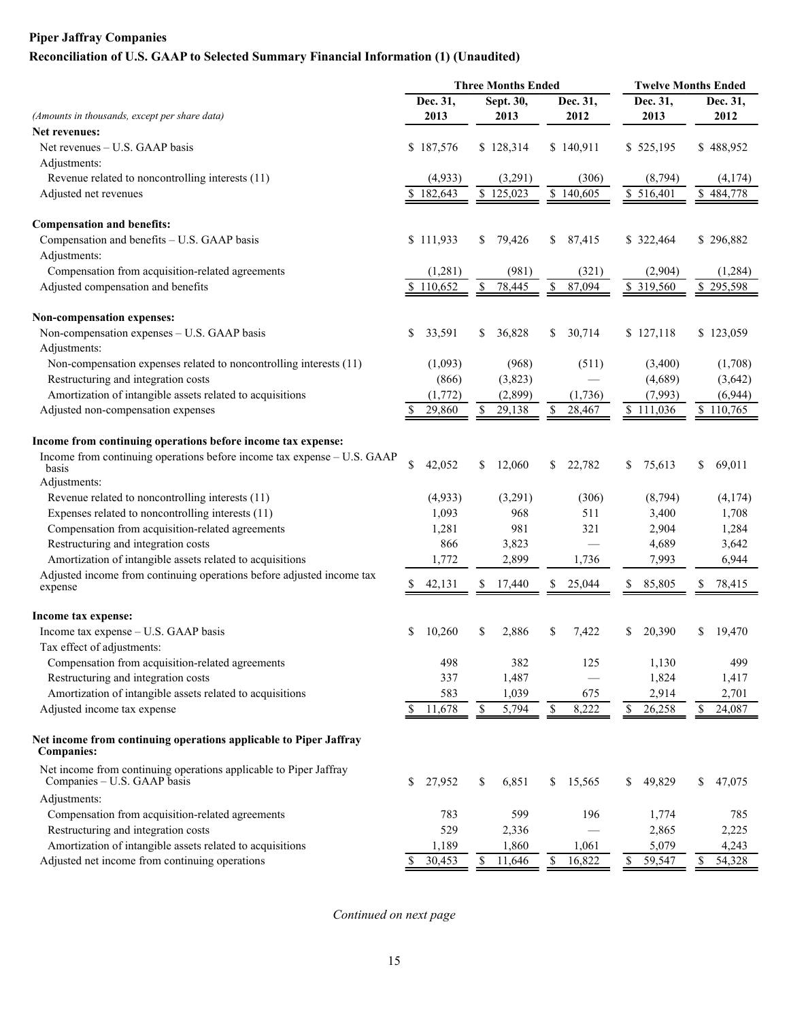### **Piper Jaffray Companies Reconciliation of U.S. GAAP to Selected Summary Financial Information (1) (Unaudited)**

|                                                                                                  |                                   |    | <b>Three Months Ended</b> |                      |              | <b>Twelve Months Ended</b> |           |  |
|--------------------------------------------------------------------------------------------------|-----------------------------------|----|---------------------------|----------------------|--------------|----------------------------|-----------|--|
|                                                                                                  | Dec. 31,                          |    | Sept. 30,                 | Dec. 31,             | Dec. 31,     |                            | Dec. 31,  |  |
| (Amounts in thousands, except per share data)                                                    | 2013                              |    | 2013                      | 2012                 | 2013         |                            | 2012      |  |
| Net revenues:                                                                                    |                                   |    |                           |                      |              |                            |           |  |
| Net revenues – U.S. GAAP basis                                                                   | \$187,576                         |    | \$128,314                 | \$140,911            | \$525,195    |                            | \$488,952 |  |
| Adjustments:                                                                                     |                                   |    |                           |                      |              |                            |           |  |
| Revenue related to noncontrolling interests (11)                                                 | (4,933)                           |    | (3,291)                   | (306)                | (8,794)      |                            | (4,174)   |  |
| Adjusted net revenues                                                                            | $\overline{$}3\overline{18}2,643$ |    | $\overline{\$}$ 125,023   | $\overline{140,605}$ | \$516,401    |                            | \$484,778 |  |
| <b>Compensation and benefits:</b>                                                                |                                   |    |                           |                      |              |                            |           |  |
| Compensation and benefits - U.S. GAAP basis                                                      | \$111,933                         | \$ | 79,426                    | \$<br>87,415         | \$322,464    |                            | \$296,882 |  |
| Adjustments:                                                                                     |                                   |    |                           |                      |              |                            |           |  |
| Compensation from acquisition-related agreements                                                 | (1,281)                           |    | (981)                     | (321)                | (2,904)      |                            | (1,284)   |  |
| Adjusted compensation and benefits                                                               | \$110,652                         | \$ | 78,445                    | \$<br>87,094         | \$319,560    |                            | \$295,598 |  |
| Non-compensation expenses:                                                                       |                                   |    |                           |                      |              |                            |           |  |
| Non-compensation expenses - U.S. GAAP basis                                                      | \$<br>33,591                      | \$ | 36,828                    | \$<br>30,714         | \$127,118    |                            | \$123,059 |  |
| Adjustments:                                                                                     |                                   |    |                           |                      |              |                            |           |  |
| Non-compensation expenses related to noncontrolling interests (11)                               | (1,093)                           |    | (968)                     | (511)                | (3,400)      |                            | (1,708)   |  |
| Restructuring and integration costs                                                              | (866)                             |    | (3,823)                   |                      | (4,689)      |                            | (3,642)   |  |
| Amortization of intangible assets related to acquisitions                                        | (1,772)                           |    | (2,899)                   | (1,736)              | (7,993)      |                            | (6,944)   |  |
| Adjusted non-compensation expenses                                                               | 29,860<br>\$                      | \$ | 29,138                    | \$<br>28,467         | \$111,036    |                            | \$110,765 |  |
| Income from continuing operations before income tax expense:                                     |                                   |    |                           |                      |              |                            |           |  |
| Income from continuing operations before income tax expense - U.S. GAAP                          |                                   |    |                           |                      |              |                            |           |  |
| basis                                                                                            | \$<br>42,052                      | \$ | 12,060                    | \$<br>22,782         | \$<br>75,613 | \$                         | 69,011    |  |
| Adjustments:                                                                                     |                                   |    |                           |                      |              |                            |           |  |
| Revenue related to noncontrolling interests (11)                                                 | (4,933)                           |    | (3,291)                   | (306)                | (8,794)      |                            | (4,174)   |  |
| Expenses related to noncontrolling interests (11)                                                | 1,093                             |    | 968                       | 511                  | 3,400        |                            | 1,708     |  |
| Compensation from acquisition-related agreements                                                 | 1,281                             |    | 981                       | 321                  | 2,904        |                            | 1,284     |  |
| Restructuring and integration costs                                                              | 866                               |    | 3,823                     |                      | 4,689        |                            | 3,642     |  |
| Amortization of intangible assets related to acquisitions                                        | 1,772                             |    | 2,899                     | 1,736                | 7,993        |                            | 6,944     |  |
| Adjusted income from continuing operations before adjusted income tax<br>expense                 | 42,131<br>\$                      | S. | 17,440                    | \$<br>25,044         | 85,805<br>\$ | \$                         | 78,415    |  |
| Income tax expense:                                                                              |                                   |    |                           |                      |              |                            |           |  |
| Income tax expense - U.S. GAAP basis                                                             | \$<br>10,260                      | \$ | 2,886                     | \$<br>7,422          | \$<br>20,390 | \$                         | 19,470    |  |
| Tax effect of adjustments:                                                                       |                                   |    |                           |                      |              |                            |           |  |
| Compensation from acquisition-related agreements                                                 | 498                               |    | 382                       | 125                  | 1,130        |                            | 499       |  |
| Restructuring and integration costs                                                              | 337                               |    | 1,487                     |                      | 1,824        |                            | 1,417     |  |
| Amortization of intangible assets related to acquisitions                                        | 583                               |    | 1,039                     | 675                  | 2,914        |                            | 2,701     |  |
| Adjusted income tax expense                                                                      | 11,678<br>-S                      | \$ | 5,794                     | \$<br>8,222          | \$<br>26,258 | S.                         | 24,087    |  |
| Net income from continuing operations applicable to Piper Jaffray<br><b>Companies:</b>           |                                   |    |                           |                      |              |                            |           |  |
| Net income from continuing operations applicable to Piper Jaffray<br>Companies – U.S. GAAP basis | \$<br>27,952                      | \$ | 6,851                     | \$<br>15,565         | 49,829<br>\$ | \$                         | 47,075    |  |
| Adjustments:                                                                                     |                                   |    |                           |                      |              |                            |           |  |
| Compensation from acquisition-related agreements                                                 | 783                               |    | 599                       | 196                  | 1,774        |                            | 785       |  |
| Restructuring and integration costs                                                              | 529                               |    | 2,336                     |                      | 2,865        |                            | 2,225     |  |
| Amortization of intangible assets related to acquisitions                                        | 1,189                             |    | 1,860                     | 1,061                | 5,079        |                            | 4,243     |  |
| Adjusted net income from continuing operations                                                   | \$<br>30,453                      | \$ | 11,646                    | \$<br>16,822         | \$<br>59,547 | S.                         | 54,328    |  |

*Continued on next page*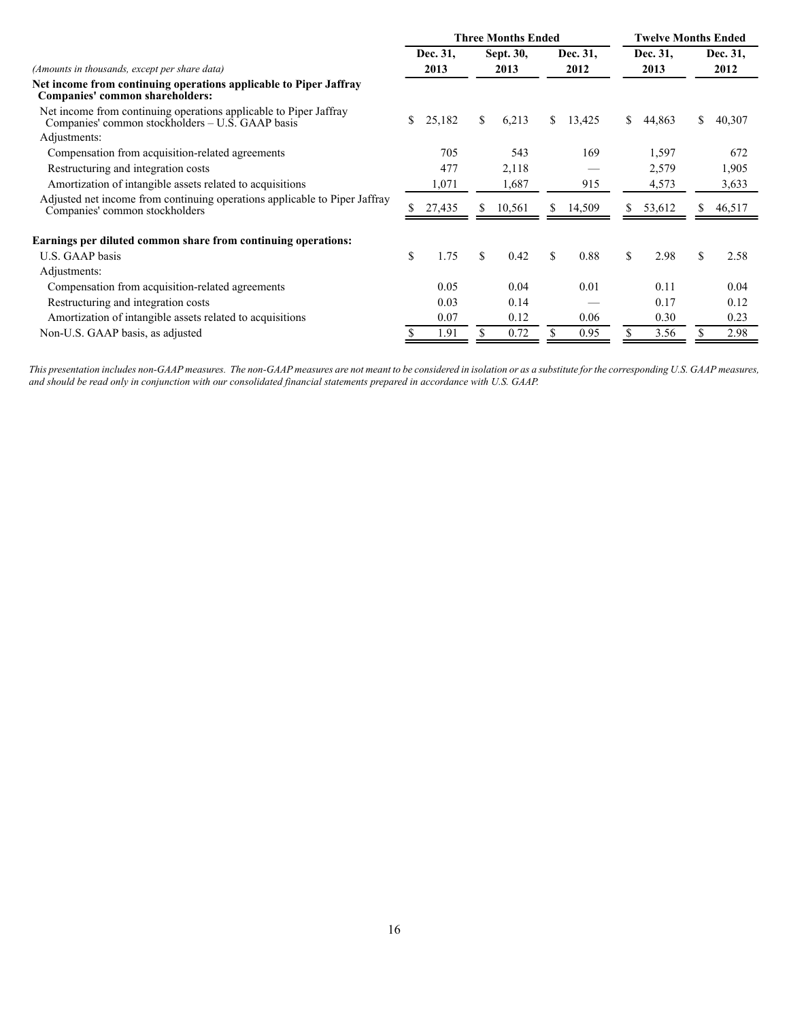|                                                                                                                       |              |    | <b>Three Months Ended</b> |     | <b>Twelve Months Ended</b> |    |          |    |          |
|-----------------------------------------------------------------------------------------------------------------------|--------------|----|---------------------------|-----|----------------------------|----|----------|----|----------|
|                                                                                                                       | Dec. 31.     |    | Sept. 30,                 |     | Dec. 31,                   |    | Dec. 31, |    | Dec. 31, |
| (Amounts in thousands, except per share data)                                                                         | 2013         |    | 2013                      |     | 2012                       |    | 2013     |    | 2012     |
| Net income from continuing operations applicable to Piper Jaffray<br>Companies' common shareholders:                  |              |    |                           |     |                            |    |          |    |          |
| Net income from continuing operations applicable to Piper Jaffray<br>Companies' common stockholders - U.S. GAAP basis | \$<br>25,182 | \$ | 6,213                     | \$  | 13,425                     | \$ | 44,863   | S. | 40,307   |
| Adjustments:                                                                                                          |              |    |                           |     |                            |    |          |    |          |
| Compensation from acquisition-related agreements                                                                      | 705          |    | 543                       |     | 169                        |    | 1,597    |    | 672      |
| Restructuring and integration costs                                                                                   | 477          |    | 2,118                     |     |                            |    | 2,579    |    | 1,905    |
| Amortization of intangible assets related to acquisitions                                                             | 1,071        |    | 1,687                     |     | 915                        |    | 4,573    |    | 3,633    |
| Adjusted net income from continuing operations applicable to Piper Jaffray<br>Companies' common stockholders          | 27,435       | S. | 10,561                    | S   | 14,509                     | S  | 53,612   | ъ. | 46,517   |
| Earnings per diluted common share from continuing operations:                                                         |              |    |                           |     |                            |    |          |    |          |
| U.S. GAAP basis                                                                                                       | \$<br>1.75   | \$ | 0.42                      | \$. | 0.88                       | \$ | 2.98     | \$ | 2.58     |
| Adjustments:                                                                                                          |              |    |                           |     |                            |    |          |    |          |
| Compensation from acquisition-related agreements                                                                      | 0.05         |    | 0.04                      |     | 0.01                       |    | 0.11     |    | 0.04     |
| Restructuring and integration costs                                                                                   | 0.03         |    | 0.14                      |     |                            |    | 0.17     |    | 0.12     |
| Amortization of intangible assets related to acquisitions                                                             | 0.07         |    | 0.12                      |     | 0.06                       |    | 0.30     |    | 0.23     |
| Non-U.S. GAAP basis, as adjusted                                                                                      | 1.91         |    | 0.72                      |     | 0.95                       |    | 3.56     |    | 2.98     |

*This presentation includes non-GAAP measures. The non-GAAP measures are not meant to be considered in isolation or as a substitute for the corresponding U.S. GAAP measures, and should be read only in conjunction with our consolidated financial statements prepared in accordance with U.S. GAAP.*